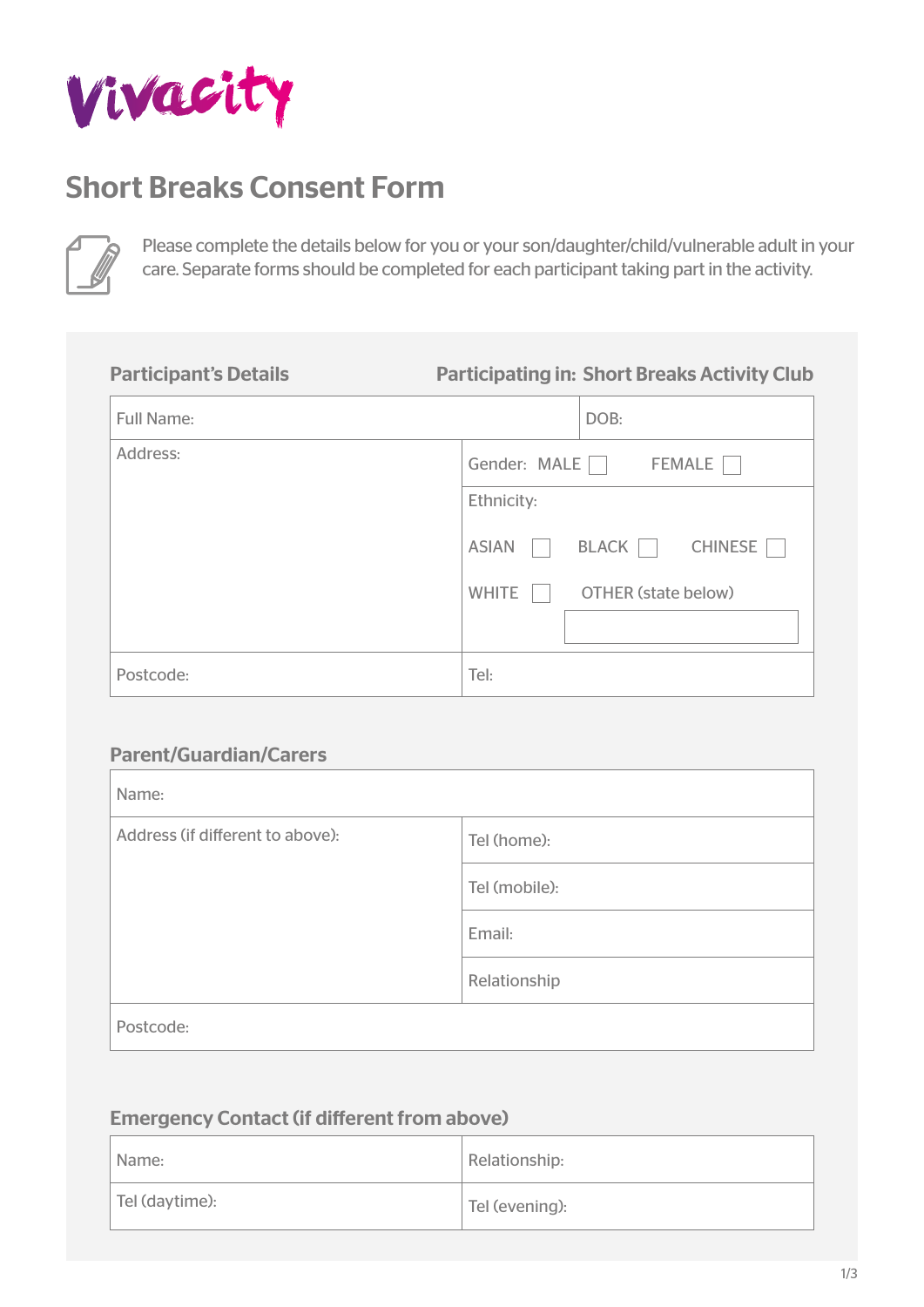

# Short Breaks Consent Form



Please complete the details below for you or your son/daughter/child/vulnerable adult in your care. Separate forms should be completed for each participant taking part in the activity.

# Participant's Details

#### Participating in: Short Breaks Activity Club

| <b>Full Name:</b> | DOB:                                       |
|-------------------|--------------------------------------------|
| Address:          | Gender: MALE<br><b>FEMALE</b>              |
|                   | Ethnicity:                                 |
|                   | <b>CHINESE</b><br><b>ASIAN</b><br>BLACK    |
|                   | <b>WHITE</b><br><b>OTHER (state below)</b> |
|                   |                                            |
| Postcode:         | Tel:                                       |

## Parent/Guardian/Carers

| Name:                            |               |  |
|----------------------------------|---------------|--|
| Address (if different to above): | Tel (home):   |  |
|                                  | Tel (mobile): |  |
|                                  | Email:        |  |
|                                  | Relationship  |  |
| Postcode:                        |               |  |

### Emergency Contact (if different from above)

| Name:          | Relationship:  |
|----------------|----------------|
| Tel (daytime): | Tel (evening): |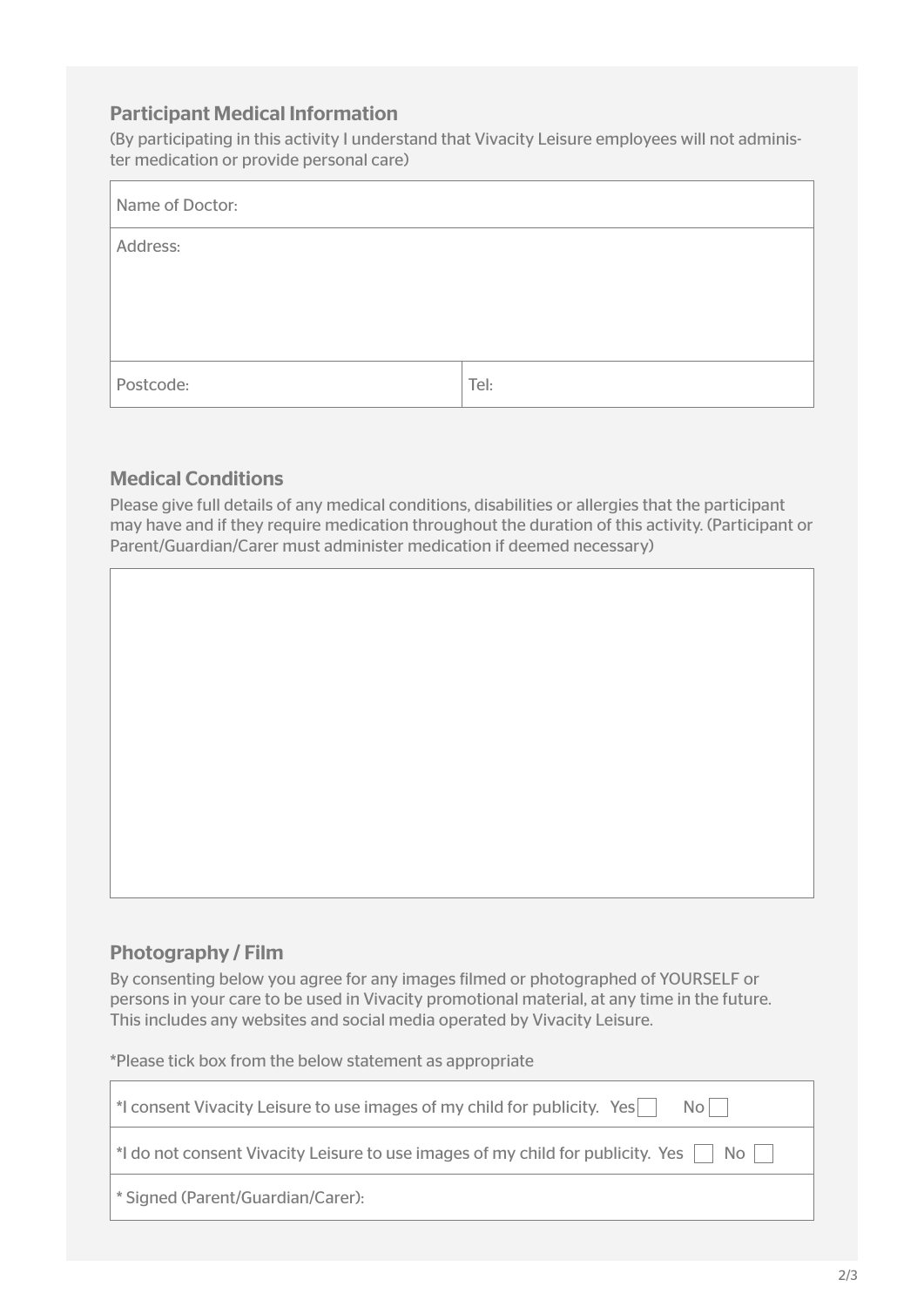#### Participant Medical Information

(By participating in this activity I understand that Vivacity Leisure employees will not administer medication or provide personal care)

| Name of Doctor: |      |
|-----------------|------|
| Address:        |      |
|                 |      |
|                 |      |
| Postcode:       | Tel: |

#### Medical Conditions

Please give full details of any medical conditions, disabilities or allergies that the participant may have and if they require medication throughout the duration of this activity. (Participant or Parent/Guardian/Carer must administer medication if deemed necessary)



#### Photography / Film

By consenting below you agree for any images filmed or photographed of YOURSELF or persons in your care to be used in Vivacity promotional material, at any time in the future. This includes any websites and social media operated by Vivacity Leisure.

\*Please tick box from the below statement as appropriate

| *I consent Vivacity Leisure to use images of my child for publicity. Yes<br>$No$                           |
|------------------------------------------------------------------------------------------------------------|
| $\vert$ *I do not consent Vivacity Leisure to use images of my child for publicity. Yes $\vert$ No $\vert$ |
| <sup>*</sup> Signed (Parent/Guardian/Carer):                                                               |